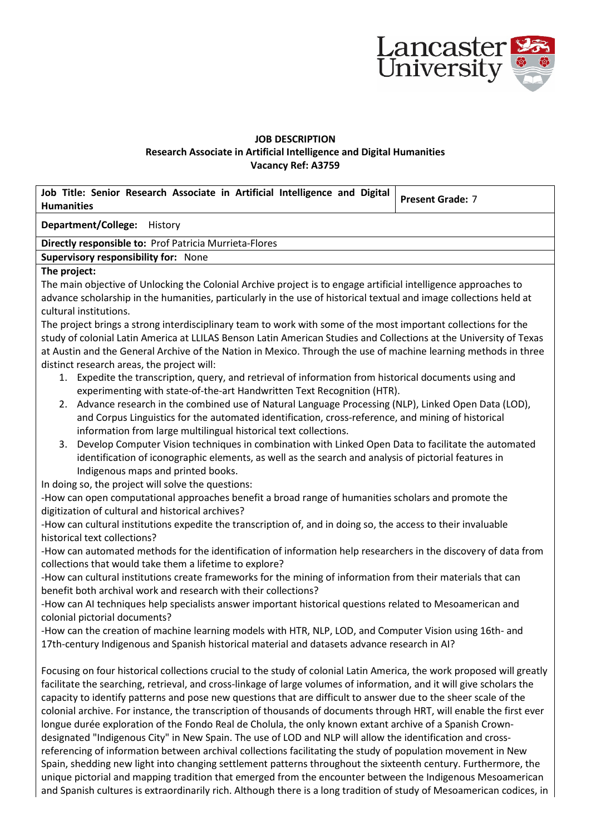

## **JOB DESCRIPTION Research Associate in Artificial Intelligence and Digital Humanities Vacancy Ref: A3759**

| Job Title: Senior Research Associate in Artificial Intelligence and Digital<br><b>Humanities</b>                                                                                | <b>Present Grade: 7</b> |
|---------------------------------------------------------------------------------------------------------------------------------------------------------------------------------|-------------------------|
| <b>Department/College:</b><br>History                                                                                                                                           |                         |
| Directly responsible to: Prof Patricia Murrieta-Flores                                                                                                                          |                         |
| Supervisory responsibility for: None                                                                                                                                            |                         |
| The project:                                                                                                                                                                    |                         |
| The main objective of Unlocking the Colonial Archive project is to engage artificial intelligence approaches to                                                                 |                         |
| advance scholarship in the humanities, particularly in the use of historical textual and image collections held at                                                              |                         |
| cultural institutions.                                                                                                                                                          |                         |
| The project brings a strong interdisciplinary team to work with some of the most important collections for the                                                                  |                         |
| study of colonial Latin America at LLILAS Benson Latin American Studies and Collections at the University of Texas                                                              |                         |
| at Austin and the General Archive of the Nation in Mexico. Through the use of machine learning methods in three                                                                 |                         |
| distinct research areas, the project will:                                                                                                                                      |                         |
| Expedite the transcription, query, and retrieval of information from historical documents using and<br>1.                                                                       |                         |
| experimenting with state-of-the-art Handwritten Text Recognition (HTR).                                                                                                         |                         |
| 2. Advance research in the combined use of Natural Language Processing (NLP), Linked Open Data (LOD),                                                                           |                         |
| and Corpus Linguistics for the automated identification, cross-reference, and mining of historical                                                                              |                         |
| information from large multilingual historical text collections.                                                                                                                |                         |
| Develop Computer Vision techniques in combination with Linked Open Data to facilitate the automated<br>3.                                                                       |                         |
| identification of iconographic elements, as well as the search and analysis of pictorial features in                                                                            |                         |
| Indigenous maps and printed books.                                                                                                                                              |                         |
| In doing so, the project will solve the questions:                                                                                                                              |                         |
| -How can open computational approaches benefit a broad range of humanities scholars and promote the                                                                             |                         |
| digitization of cultural and historical archives?                                                                                                                               |                         |
| -How can cultural institutions expedite the transcription of, and in doing so, the access to their invaluable                                                                   |                         |
| historical text collections?                                                                                                                                                    |                         |
| -How can automated methods for the identification of information help researchers in the discovery of data from                                                                 |                         |
| collections that would take them a lifetime to explore?                                                                                                                         |                         |
| -How can cultural institutions create frameworks for the mining of information from their materials that can<br>benefit both archival work and research with their collections? |                         |
|                                                                                                                                                                                 |                         |
| -How can AI techniques help specialists answer important historical questions related to Mesoamerican and<br>colonial pictorial documents?                                      |                         |
| -How can the creation of machine learning models with HTR, NLP, LOD, and Computer Vision using 16th- and                                                                        |                         |
| 17th-century Indigenous and Spanish historical material and datasets advance research in AI?                                                                                    |                         |
|                                                                                                                                                                                 |                         |
| Focusing on four historical collections crucial to the study of colonial Latin America, the work proposed will greatly                                                          |                         |
| facilitate the searching, retrieval, and cross-linkage of large volumes of information, and it will give scholars the                                                           |                         |
| capacity to identify patterns and pose new questions that are difficult to answer due to the sheer scale of the                                                                 |                         |
| colonial archive. For instance, the transcription of thousands of documents through HRT, will enable the first ever                                                             |                         |
| longue durée exploration of the Fondo Real de Cholula, the only known extant archive of a Spanish Crown-                                                                        |                         |
| designated "Indigenous City" in New Spain. The use of LOD and NLP will allow the identification and cross-                                                                      |                         |
| referencing of information between archival collections facilitating the study of population movement in New                                                                    |                         |
| Spain, shedding new light into changing settlement patterns throughout the sixteenth century. Furthermore, the                                                                  |                         |
| unique pictorial and mapping tradition that emerged from the encounter between the Indigenous Mesoamerican                                                                      |                         |
| and Spanish cultures is extraordinarily rich. Although there is a long tradition of study of Mesoamerican codices, in                                                           |                         |